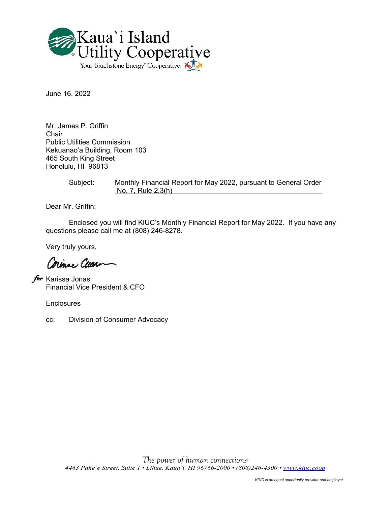

June 16, 2022

Mr. James P. Griffin Chair Public Utilities Commission Kekuanao'a Building, Room 103 465 South King Street Honolulu, HI 96813

> Subject: Monthly Financial Report for May 2022, pursuant to General Order No. 7, Rule 2.3(h)

Dear Mr. Griffin:

Enclosed you will find KIUC's Monthly Financial Report for May 2022. If you have any questions please call me at (808) 246-8278.

Very truly yours,

Corinac Cuar

*f*∞r Karissa Jonas Financial Vice President & CFO

**Enclosures** 

cc: Division of Consumer Advocacy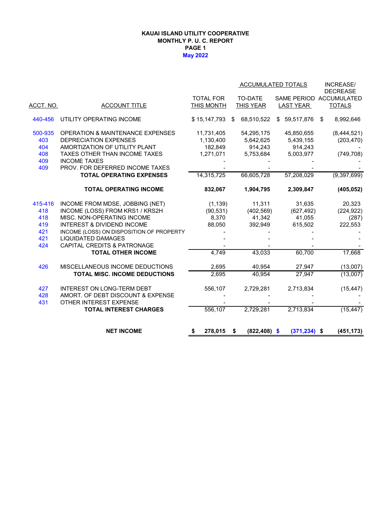### **KAUAI ISLAND UTILITY COOPERATIVE MONTHLY P. U. C. REPORT PAGE 1 May 2022**

|                  |                                             |                   |                       | <b>ACCUMULATED TOTALS</b> | <b>INCREASE/</b><br><b>DECREASE</b> |
|------------------|---------------------------------------------|-------------------|-----------------------|---------------------------|-------------------------------------|
|                  |                                             | <b>TOTAL FOR</b>  | TO-DATE               |                           | SAME PERIOD ACCUMULATED             |
| <u>ACCT. NO.</u> | <b>ACCOUNT TITLE</b>                        | <b>THIS MONTH</b> | <b>THIS YEAR</b>      | <b>LAST YEAR</b>          | <b>TOTALS</b>                       |
| 440-456          | UTILITY OPERATING INCOME                    | \$15,147,793      | 68,510,522<br>\$      | \$59,517,876              | 8,992,646<br>\$                     |
| 500-935          | <b>OPERATION &amp; MAINTENANCE EXPENSES</b> | 11,731,405        | 54,295,175            | 45,850,655                | (8,444,521)                         |
| 403              | DEPRECIATION EXPENSES                       | 1,130,400         | 5,642,625             | 5,439,155                 | (203, 470)                          |
| 404              | AMORTIZATION OF UTILITY PLANT               | 182,849           | 914,243               | 914,243                   |                                     |
| 408              | TAXES OTHER THAN INCOME TAXES               | 1,271,071         | 5,753,684             | 5,003,977                 | (749, 708)                          |
| 409              | <b>INCOME TAXES</b>                         |                   |                       |                           |                                     |
| 409              | PROV. FOR DEFERRED INCOME TAXES             |                   |                       |                           |                                     |
|                  | <b>TOTAL OPERATING EXPENSES</b>             | 14,315,725        | 66,605,728            | 57,208,029                | (9,397,699)                         |
|                  | <b>TOTAL OPERATING INCOME</b>               | 832,067           | 1,904,795             | 2,309,847                 | (405, 052)                          |
| 415-416          | INCOME FROM MDSE, JOBBING (NET)             | (1, 139)          | 11,311                | 31,635                    | 20,323                              |
| 418              | INCOME (LOSS) FROM KRS1 / KRS2H             | (90, 531)         | (402, 569)            | (627, 492)                | (224, 922)                          |
| 418              | MISC. NON-OPERATING INCOME                  | 8,370             | 41,342                | 41,055                    | (287)                               |
| 419              | <b>INTEREST &amp; DIVIDEND INCOME</b>       | 88,050            | 392,949               | 615,502                   | 222,553                             |
| 421              | INCOME (LOSS) ON DISPOSITION OF PROPERTY    |                   |                       |                           |                                     |
| 421              | <b>LIQUIDATED DAMAGES</b>                   |                   |                       |                           |                                     |
| 424              | CAPITAL CREDITS & PATRONAGE                 |                   |                       |                           |                                     |
|                  | <b>TOTAL OTHER INCOME</b>                   | 4,749             | 43,033                | 60,700                    | 17,668                              |
| 426              | MISCELLANEOUS INCOME DEDUCTIONS             | 2,695             | 40,954                | 27,947                    | (13,007)                            |
|                  | TOTAL MISC. INCOME DEDUCTIONS               | 2,695             | 40,954                | 27,947                    | (13,007)                            |
| 427              | <b>INTEREST ON LONG-TERM DEBT</b>           | 556,107           | 2,729,281             | 2,713,834                 | (15, 447)                           |
| 428              | AMORT. OF DEBT DISCOUNT & EXPENSE           |                   |                       |                           |                                     |
| 431              | OTHER INTEREST EXPENSE                      |                   |                       |                           |                                     |
|                  | <b>TOTAL INTEREST CHARGES</b>               | 556,107           | 2,729,281             | 2,713,834                 | (15, 447)                           |
|                  | <b>NET INCOME</b>                           | 278,015<br>S      | $(822, 408)$ \$<br>\$ | $(371, 234)$ \$           | (451, 173)                          |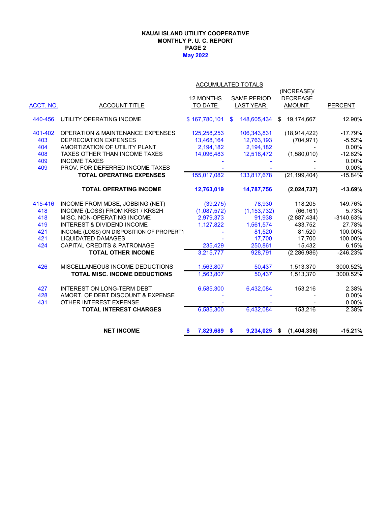### **May 2022 KAUAI ISLAND UTILITY COOPERATIVE MONTHLY P. U. C. REPORT PAGE 2**

| ACCUMULATED TOTALS |  |
|--------------------|--|

|           |                                             |                |                    | (INCREASE)/         |                |
|-----------|---------------------------------------------|----------------|--------------------|---------------------|----------------|
|           |                                             | 12 MONTHS      | <b>SAME PERIOD</b> | <b>DECREASE</b>     |                |
| ACCT. NO. | <b>ACCOUNT TITLE</b>                        | TO DATE        | <b>LAST YEAR</b>   | <b>AMOUNT</b>       | <b>PERCENT</b> |
|           |                                             |                |                    |                     |                |
| 440-456   | UTILITY OPERATING INCOME                    | \$167,780,101  | 148,605,434<br>\$  | 19,174,667<br>\$    | 12.90%         |
| 401-402   | <b>OPERATION &amp; MAINTENANCE EXPENSES</b> | 125,258,253    | 106,343,831        | (18, 914, 422)      | $-17.79%$      |
| 403       | <b>DEPRECIATION EXPENSES</b>                | 13,468,164     | 12,763,193         | (704, 971)          | $-5.52%$       |
| 404       | AMORTIZATION OF UTILITY PLANT               | 2,194,182      | 2,194,182          |                     | 0.00%          |
| 408       | TAXES OTHER THAN INCOME TAXES               | 14,096,483     | 12,516,472         | (1,580,010)         | $-12.62%$      |
| 409       | <b>INCOME TAXES</b>                         |                |                    |                     | 0.00%          |
| 409       | PROV. FOR DEFERRED INCOME TAXES             |                |                    |                     | 0.00%          |
|           | <b>TOTAL OPERATING EXPENSES</b>             | 155,017,082    | 133,817,678        | (21, 199, 404)      | $-15.84%$      |
|           | <b>TOTAL OPERATING INCOME</b>               | 12,763,019     | 14,787,756         | (2,024,737)         | $-13.69%$      |
| 415-416   | INCOME FROM MDSE, JOBBING (NET)             | (39, 275)      | 78,930             | 118,205             | 149.76%        |
| 418       | INCOME (LOSS) FROM KRS1 / KRS2H             | (1,087,572)    | (1, 153, 732)      | (66, 161)           | 5.73%          |
| 418       | MISC. NON-OPERATING INCOME                  | 2,979,373      | 91,938             | (2,887,434)         | -3140.63%      |
| 419       | <b>INTEREST &amp; DIVIDEND INCOME</b>       | 1,127,822      | 1,561,574          | 433.752             | 27.78%         |
| 421       | INCOME (LOSS) ON DISPOSITION OF PROPERT)    |                | 81,520             | 81,520              | 100.00%        |
| 421       | <b>LIQUIDATED DAMAGES</b>                   |                | 17,700             | 17,700              | 100.00%        |
| 424       | <b>CAPITAL CREDITS &amp; PATRONAGE</b>      | 235,429        | 250,861            | 15,432              | 6.15%          |
|           | <b>TOTAL OTHER INCOME</b>                   | 3,215,777      | 928,791            | (2, 286, 986)       | $-246.23%$     |
| 426       | MISCELLANEOUS INCOME DEDUCTIONS             | 1,563,807      | 50,437             | 1,513,370           | 3000.52%       |
|           | <b>TOTAL MISC. INCOME DEDUCTIONS</b>        | 1,563,807      | 50,437             | 1,513,370           | 3000.52%       |
| 427       | <b>INTEREST ON LONG-TERM DEBT</b>           | 6,585,300      | 6,432,084          | 153,216             | 2.38%          |
| 428       | AMORT. OF DEBT DISCOUNT & EXPENSE           |                |                    |                     | 0.00%          |
| 431       | OTHER INTEREST EXPENSE                      |                |                    |                     | 0.00%          |
|           | <b>TOTAL INTEREST CHARGES</b>               | 6,585,300      | 6,432,084          | 153,216             | 2.38%          |
|           | <b>NET INCOME</b>                           | 7,829,689<br>S | 9,234,025<br>\$    | (1,404,336)<br>- \$ | $-15.21%$      |
|           |                                             |                |                    |                     |                |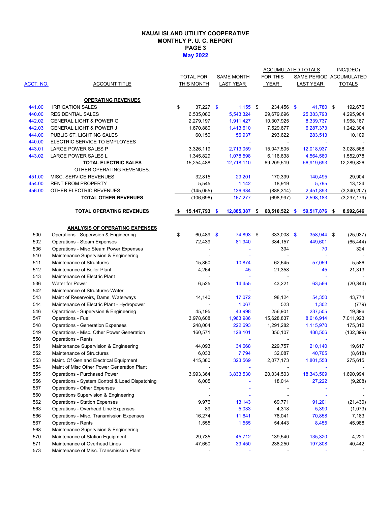### **KAUAI ISLAND UTILITY COOPERATIVE MONTHLY P. U. C. REPORT PAGE 3 May 2022**

|           |                                                |                   |     |                   | ACCUMULATED TOTALS  |                         | INC/(DEC)     |
|-----------|------------------------------------------------|-------------------|-----|-------------------|---------------------|-------------------------|---------------|
|           |                                                | <b>TOTAL FOR</b>  |     | <b>SAME MONTH</b> | FOR THIS            | SAME PERIOD ACCUMULATED |               |
| ACCT. NO. | <b>ACCOUNT TITLE</b>                           | THIS MONTH        |     | <b>LAST YEAR</b>  | <b>YEAR</b>         | <b>LAST YEAR</b>        | <b>TOTALS</b> |
|           |                                                |                   |     |                   |                     |                         |               |
|           | <b>OPERATING REVENUES</b>                      |                   |     |                   |                     |                         |               |
| 441.00    | <b>IRRIGATION SALES</b>                        | \$<br>$37,227$ \$ |     | $1,155$ \$        | 234,456 \$          | 41,780 \$               | 192,676       |
| 440.00    | <b>RESIDENTIAL SALES</b>                       | 6,535,086         |     | 5,543,324         | 29,679,696          | 25,383,793              | 4,295,904     |
| 442.02    | <b>GENERAL LIGHT &amp; POWER G</b>             | 2,279,197         |     | 1,911,427         | 10,307,925          | 8,339,737               | 1,968,187     |
| 442.03    | <b>GENERAL LIGHT &amp; POWER J</b>             | 1,670,880         |     | 1,413,610         | 7,529,677           | 6,287,373               | 1,242,304     |
| 444.00    | PUBLIC ST. LIGHTING SALES                      | 60,150            |     | 56,937            | 293,622             | 283,513                 | 10,109        |
| 440.00    | ELECTRIC SERVICE TO EMPLOYEES                  |                   |     |                   |                     |                         |               |
| 443.01    | LARGE POWER SALES P                            | 3,326,119         |     | 2,713,059         | 15,047,505          | 12,018,937              | 3,028,568     |
| 443.02    | LARGE POWER SALES L                            | 1,345,829         |     | 1,078,598         | 6,116,638           | 4,564,560               | 1,552,078     |
|           | <b>TOTAL ELECTRIC SALES</b>                    | 15,254,488        |     | 12,718,110        | 69,209,519          | 56,919,693              | 12,289,826    |
|           | OTHER OPERATING REVENUES:                      |                   |     |                   |                     |                         |               |
| 451.00    | MISC. SERVICE REVENUES                         | 32,815            |     | 29,201            | 170,399             | 140,495                 | 29,904        |
| 454.00    | RENT FROM PROPERTY                             | 5,545             |     | 1,142             | 18,919              | 5,795                   | 13,124        |
| 456.00    | OTHER ELECTRIC REVENUES                        | (145, 055)        |     | 136,934           | (888, 314)          | 2,451,893               | (3,340,207)   |
|           | <b>TOTAL OTHER REVENUES</b>                    | (106, 696)        |     | 167,277           | (698, 997)          | 2,598,183               | (3, 297, 179) |
|           | <b>TOTAL OPERATING REVENUES</b>                | \$<br>15,147,793  | -\$ | 12,885,387        | \$<br>68,510,522 \$ | 59,517,876 \$           | 8,992,646     |
|           |                                                |                   |     |                   |                     |                         |               |
|           | <b>ANALYSIS OF OPERATING EXPENSES</b>          |                   |     |                   |                     |                         |               |
| 500       | Operations - Supervsion & Engineering          | \$<br>60,489 \$   |     | 74,893 \$         | $333,008$ \$        | 358,944 \$              | (25, 937)     |
| 502       | <b>Operations - Steam Expenses</b>             | 72,439            |     | 81,940            | 384,157             | 449,601                 | (65, 444)     |
| 506       | Operations - Misc Steam Power Expenses         |                   |     |                   | 394                 | 70                      | 324           |
| 510       | Maintenance Supervision & Engineering          |                   |     |                   |                     |                         |               |
| 511       | Maintenance of Structures                      | 15,860            |     | 10,874            | 62,645              | 57,059                  | 5,586         |
| 512       | Maintenance of Boiler Plant                    | 4,264             |     | 45                | 21,358              | 45                      | 21,313        |
| 513       | Maintenance of Electric Plant                  |                   |     |                   | $\overline{a}$      |                         |               |
| 536       | <b>Water for Power</b>                         | 6,525             |     | 14,455            | 43,221              | 63,566                  | (20, 344)     |
| 542       | Maintenance of Structures-Water                |                   |     |                   | $\blacksquare$      |                         |               |
| 543       | Maint of Reservoirs, Dams, Waterways           | 14,140            |     | 17,072            | 98,124              | 54,350                  | 43,774        |
| 544       | Maintenance of Electric Plant - Hydropower     |                   |     | 1,067             | 523                 | 1,302                   | (779)         |
| 546       | Operations - Supervsion & Engineering          | 45,195            |     | 43,998            | 256,901             | 237,505                 | 19,396        |
| 547       | Operations - Fuel                              | 3,978,608         |     | 1,963,986         | 15,628,837          | 8,616,914               | 7,011,923     |
| 548       | <b>Operations - Generation Expenses</b>        | 248,004           |     | 222,693           | 1,291,282           | 1,115,970               | 175,312       |
| 549       | Operations - Misc. Other Power Generation      | 160,571           |     | 128,101           | 356,107             | 488,506                 | (132, 399)    |
| 550       | <b>Operations - Rents</b>                      |                   |     |                   |                     |                         |               |
| 551       | Maintenance Supervision & Engineering          | 44,093            |     | 34,668            | 229,757             | 210,140                 | 19,617        |
| 552       | Maintenance of Structures                      | 6,033             |     | 7,794             | 32,087              | 40,705                  |               |
|           |                                                |                   |     |                   |                     |                         | (8,618)       |
| 553       | Maint. Of Gen and Electrical Equipment         | 415,380           |     | 323,569           | 2,077,173           | 1,801,558               | 275,615       |
| 554       | Maint of Misc Other Power Generation Plant     |                   |     |                   |                     |                         |               |
| 555       | Operations - Purchased Power                   | 3,993,364         |     | 3,833,530         | 20,034,503          | 18,343,509              | 1,690,994     |
| 556       | Operations - System Control & Load Dispatching | 6,005             |     |                   | 18,014              | 27,222                  | (9,208)       |
| 557       | Operations - Other Expenses                    |                   |     |                   |                     |                         |               |
| 560       | Operations Supervision & Engineering           |                   |     |                   |                     |                         |               |
| 562       | <b>Operations - Station Expenses</b>           | 9,976             |     | 13,143            | 69,771              | 91,201                  | (21, 430)     |
| 563       | Operations - Overhead Line Expenses            | 89                |     | 5,033             | 4,318               | 5,390                   | (1,073)       |
| 566       | Operations - Misc. Transmission Expenses       | 16,274            |     | 11,641            | 78,041              | 70,858                  | 7,183         |
| 567       | <b>Operations - Rents</b>                      | 1,555             |     | 1,555             | 54,443              | 8,455                   | 45,988        |
| 568       | Maintenance Supervision & Engineering          |                   |     |                   |                     |                         |               |
| 570       | Maintenance of Station Equipment               | 29,735            |     | 45,712            | 139,540             | 135,320                 | 4,221         |
| 571       | Maintenance of Overhead Lines                  | 47,650            |     | 39,450            | 238,250             | 197,808                 | 40,442        |
| 573       | Maintenance of Misc. Transmission Plant        |                   |     |                   |                     |                         |               |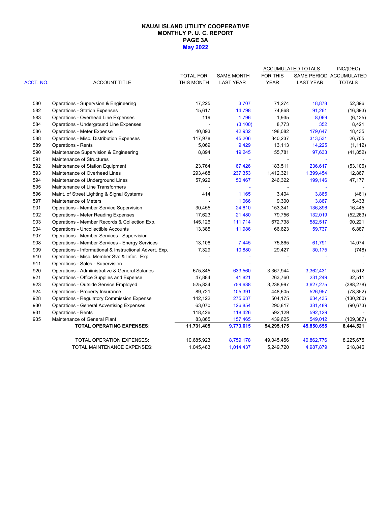#### **PAGE 3A May 2022 KAUAI ISLAND UTILITY COOPERATIVE MONTHLY P. U. C. REPORT**

|           |                                                         |                  |                          | <b>ACCUMULATED TOTALS</b> | INC/(DEC)        |                         |
|-----------|---------------------------------------------------------|------------------|--------------------------|---------------------------|------------------|-------------------------|
|           |                                                         | <b>TOTAL FOR</b> | <b>SAME MONTH</b>        | <b>FOR THIS</b>           |                  | SAME PERIOD ACCUMULATED |
| ACCT. NO. | <b>ACCOUNT TITLE</b>                                    | THIS MONTH       | <b>LAST YEAR</b>         | YEAR                      | <b>LAST YEAR</b> | <b>TOTALS</b>           |
| 580       | Operations - Supervsion & Engineering                   | 17,225           | 3,707                    | 71,274                    | 18,878           | 52,396                  |
| 582       | <b>Operations - Station Expenses</b>                    | 15,617           | 14,798                   | 74,868                    | 91,261           | (16, 393)               |
| 583       | Operations - Overhead Line Expenses                     | 119              | 1,796                    | 1,935                     | 8,069            | (6, 135)                |
| 584       | Operations - Underground Line Expenses                  |                  | (3, 100)                 | 8,773                     | 352              | 8,421                   |
| 586       | <b>Operations - Meter Expense</b>                       | 40,893           | 42,932                   | 198,082                   | 179,647          | 18,435                  |
| 588       | Operations - Misc. Distribution Expenses                | 117,978          | 45,206                   | 340,237                   | 313,531          | 26,705                  |
| 589       | <b>Operations - Rents</b>                               | 5,069            | 9,429                    | 13,113                    | 14,225           | (1, 112)                |
| 590       | Maintenance Supervision & Engineering                   | 8,894            | 19,245                   | 55,781                    | 97,633           | (41, 852)               |
| 591       | Maintenance of Structures                               |                  | $\overline{\phantom{a}}$ | $\blacksquare$            |                  |                         |
| 592       | Maintenance of Station Equipment                        | 23,764           | 67,426                   | 183,511                   | 236,617          | (53, 106)               |
| 593       | Maintenance of Overhead Lines                           | 293,468          | 237,353                  | 1,412,321                 | 1,399,454        | 12,867                  |
| 594       | Maintenance of Underground Lines                        | 57,922           | 50,467                   | 246,322                   | 199,146          | 47,177                  |
| 595       | Maintenance of Line Transformers                        |                  |                          |                           |                  |                         |
| 596       | Maint. of Street Lighting & Signal Systems              | 414              | 1,165                    | 3,404                     | 3,865            | (461)                   |
| 597       | Maintenance of Meters                                   |                  | 1,066                    | 9,300                     | 3,867            | 5,433                   |
| 901       | Operations - Member Service Supervision                 | 30,455           | 24,610                   | 153,341                   | 136,896          | 16,445                  |
| 902       | <b>Operations - Meter Reading Expenses</b>              | 17,623           | 21,480                   | 79,756                    | 132,019          | (52, 263)               |
| 903       | Operations - Member Records & Collection Exp.           | 145,126          | 111,714                  | 672,738                   | 582,517          | 90,221                  |
| 904       | Operations - Uncollectible Accounts                     | 13,385           | 11,986                   | 66,623                    | 59,737           | 6,887                   |
| 907       | Operations - Member Services - Supervision              |                  |                          |                           |                  |                         |
| 908       | Operations - Member Services - Energy Services          | 13,106           | 7,445                    | 75,865                    | 61,791           | 14,074                  |
| 909       | Operations - Informational & Instructional Advert. Exp. | 7,329            | 10,880                   | 29,427                    | 30,175           | (748)                   |
| 910       | Operations - Misc. Member Svc & Infor. Exp.             |                  |                          |                           |                  |                         |
| 911       | Operations - Sales - Supervision                        |                  |                          |                           |                  |                         |
| 920       | Operations - Admiinistrative & General Salaries         | 675,845          | 633,560                  | 3,367,944                 | 3,362,431        | 5,512                   |
| 921       | Operations - Office Supplies and Expense                | 47,884           | 41,821                   | 263,760                   | 231,249          | 32,511                  |
| 923       | Operations - Outside Service Employed                   | 525,834          | 759,638                  | 3,238,997                 | 3,627,275        | (388, 278)              |
| 924       | Operations - Property Insurance                         | 89,721           | 105,391                  | 448,605                   | 526,957          | (78, 352)               |
| 928       | <b>Operations - Regulatory Commission Expense</b>       | 142,122          | 275,637                  | 504,175                   | 634,435          | (130, 260)              |
| 930       | <b>Operations - General Advertising Expenses</b>        | 63,070           | 126,854                  | 290,817                   | 381,489          | (90, 673)               |
| 931       | <b>Operations - Rents</b>                               | 118,426          | 118,426                  | 592,129                   | 592,129          |                         |
| 935       | Maintenance of General Plant                            | 83,865           | 157,465                  | 439,625                   | 549,012          | (109, 387)              |
|           | <b>TOTAL OPERATING EXPENSES:</b>                        | 11,731,405       | 9,773,615                | 54,295,175                | 45,850,655       | 8,444,521               |
|           | TOTAL OPERATION EXPENSES:                               | 10,685,923       | 8,759,178                | 49,045,456                | 40,862,776       | 8,225,675               |
|           | TOTAL MAINTENANCE EXPENSES:                             | 1,045,483        | 1,014,437                | 5,249,720                 | 4,987,879        | 218,846                 |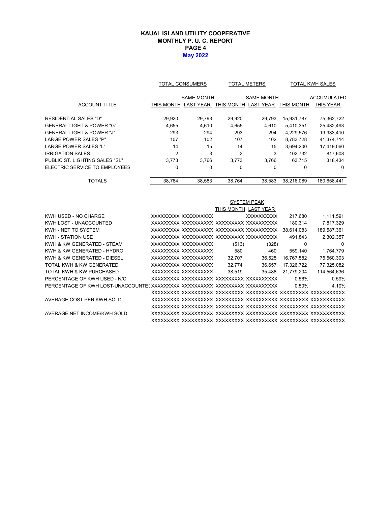### **KAUAI ISLAND UTILITY COOPERATIVE MONTHLY P. U. C. REPORT PAGE 4 May 2022**

|                                      |                | TOTAL CONSUMERS   | <b>TOTAL METERS</b> |                   | <b>TOTAL KWH SALES</b> |                    |
|--------------------------------------|----------------|-------------------|---------------------|-------------------|------------------------|--------------------|
|                                      |                | <b>SAME MONTH</b> |                     | <b>SAME MONTH</b> |                        | <b>ACCUMULATED</b> |
| <b>ACCOUNT TITLE</b>                 | THIS MONTH     | <b>LAST YEAR</b>  | THIS MONTH          | <b>LAST YEAR</b>  | THIS MONTH             | THIS YEAR          |
| <b>RESIDENTIAL SALES "D"</b>         | 29,920         | 29,793            | 29,920              | 29,793            | 15,931,787             | 75,362,722         |
| GENERAL LIGHT & POWER "G"            | 4.655          | 4.610             | 4,655               | 4,610             | 5,410,351              | 25,432,493         |
| <b>GENERAL LIGHT &amp; POWER "J"</b> | 293            | 294               | 293                 | 294               | 4,229,576              | 19,933,410         |
| <b>LARGE POWER SALES "P"</b>         | 107            | 102               | 107                 | 102               | 8,783,728              | 41,374,714         |
| LARGE POWER SALES "L"                | 14             | 15                | 14                  | 15                | 3,694,200              | 17,419,060         |
| IRRIGATION SALES                     | $\overline{2}$ | 3                 | $\overline{2}$      | 3                 | 102.732                | 817,608            |
| PUBLIC ST. LIGHTING SALES "SL"       | 3.773          | 3.766             | 3.773               | 3.766             | 63.715                 | 318,434            |
| ELECTRIC SERVICE TO EMPLOYEES        | 0              | 0                 | 0                   | $\Omega$          | 0                      | $\Omega$           |
| TOTALS                               | 38.764         | 38.583            | 38.764              | 38.583            | 38.216.089             | 180.658.441        |

|                              |                     |        | <b>SYSTEM PEAK</b>   |            |             |
|------------------------------|---------------------|--------|----------------------|------------|-------------|
|                              |                     |        | THIS MONTH LAST YEAR |            |             |
| KWH USED - NO CHARGE         | XXXXXXXX XXXXXXXXXX |        | <b>XXXXXXXXXX</b>    | 217.680    | 1,111,591   |
| KWH LOST - UNACCOUNTED       |                     |        |                      | 180,314    | 7,817,329   |
| KWH - NET TO SYSTEM          |                     |        |                      | 38,614,083 | 189,587,361 |
| <b>KWH - STATION USE</b>     |                     |        |                      | 491,843    | 2,302,357   |
| KWH & KW GENERATED - STEAM   | XXXXXXXX XXXXXXXXXX | (513)  | (328)                | $\Omega$   | 0           |
| KWH & KW GENERATED - HYDRO   | XXXXXXXX XXXXXXXXXX | 580    | 460                  | 559.140    | 1,764,779   |
| KWH & KW GENERATED - DIESEL  | XXXXXXXX XXXXXXXXXX | 32.707 | 36,525               | 16,767,582 | 75,560,303  |
| TOTAL KWH & KW GENERATED     | XXXXXXXX XXXXXXXXXX | 32,774 | 36,657               | 17,326,722 | 77,325,082  |
| TOTAL KWH & KW PURCHASED     | XXXXXXXX XXXXXXXXXX | 38,519 | 35,488               | 21,779,204 | 114,564,636 |
| PERCENTAGE OF KWH USED - N/C |                     |        |                      | 0.56%      | 0.59%       |
|                              |                     |        |                      | 0.50%      | 4.10%       |
|                              |                     |        |                      |            |             |
| AVERAGE COST PER KWH SOLD    |                     |        |                      |            |             |
|                              |                     |        |                      |            |             |
| AVERAGE NET INCOME/KWH SOLD  |                     |        |                      |            |             |
|                              |                     |        |                      |            |             |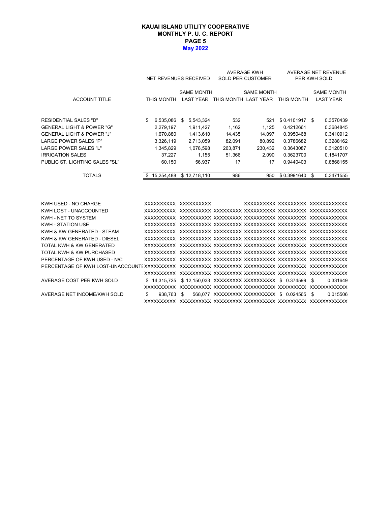#### **PAGE 5 May 2022 KAUAI ISLAND UTILITY COOPERATIVE MONTHLY P. U. C. REPORT**

|                                      |                 | NET REVENUES RECEIVED | <b>AVERAGE KWH</b><br><b>SOLD PER CUSTOMER</b> |                                           |                 | AVERAGE NET REVENUE<br>PER KWH SOLD |
|--------------------------------------|-----------------|-----------------------|------------------------------------------------|-------------------------------------------|-----------------|-------------------------------------|
|                                      |                 | <b>SAME MONTH</b>     |                                                | <b>SAME MONTH</b>                         |                 | <b>SAME MONTH</b>                   |
| <b>ACCOUNT TITLE</b>                 | THIS MONTH      |                       |                                                | LAST YEAR THIS MONTH LAST YEAR THIS MONTH |                 | <b>LAST YEAR</b>                    |
| RESIDENTIAL SALES "D"                | \$<br>6,535,086 | 5,543,324<br>\$       | 532                                            | 521                                       | $$0.4101917$ \$ | 0.3570439                           |
| <b>GENERAL LIGHT &amp; POWER "G"</b> | 2,279,197       | 1,911,427             | 1,162                                          | 1,125                                     | 0.4212661       | 0.3684845                           |
| <b>GENERAL LIGHT &amp; POWER "J"</b> | 1,670,880       | 1,413,610             | 14,435                                         | 14,097                                    | 0.3950468       | 0.3410912                           |
| <b>LARGE POWER SALES "P"</b>         | 3,326,119       | 2,713,059             | 82,091                                         | 80,892                                    | 0.3786682       | 0.3288162                           |
| <b>LARGE POWER SALES "L"</b>         | 1,345,829       | 1,078,598             | 263,871                                        | 230,432                                   | 0.3643087       | 0.3120510                           |
| <b>IRRIGATION SALES</b>              | 37,227          | 1,155                 | 51,366                                         | 2,090                                     | 0.3623700       | 0.1841707                           |
| PUBLIC ST. LIGHTING SALES "SL"       | 60,150          | 56,937                | 17                                             | 17                                        | 0.9440403       | 0.8868155                           |
| <b>TOTALS</b>                        | \$15,254,488    | \$12,718,110          | 986                                            | 950                                       | \$0.3991640     | 0.3471555<br>\$                     |
| KWH USED - NO CHARGE                 |                 | XXXXXXXXX XXXXXXXXXX  |                                                |                                           |                 | XXXXXXXXXX XXXXXXXXX XXXXXXXXXXXX   |
| KWH LOST - UNACCOUNTED               |                 |                       |                                                |                                           |                 |                                     |
| KWH - NET TO SYSTEM                  |                 |                       |                                                |                                           |                 |                                     |
| KWH - STATION USE                    |                 |                       |                                                |                                           |                 |                                     |
| KWH & KW GENERATED - STEAM           |                 |                       |                                                |                                           |                 |                                     |
| KWH & KW GENERATED - DIESEL          |                 |                       |                                                |                                           |                 |                                     |
| TOTAL KWH & KW GENERATED             |                 |                       |                                                |                                           |                 |                                     |
| TOTAL KWH & KW PURCHASED             |                 |                       |                                                |                                           |                 |                                     |
|                                      |                 |                       |                                                |                                           |                 |                                     |

| TOTAL KWH & KW PURCHASED     |            |  |                                                              |  |  |          |
|------------------------------|------------|--|--------------------------------------------------------------|--|--|----------|
| PERCENTAGE OF KWH USED - N/C |            |  |                                                              |  |  |          |
|                              |            |  |                                                              |  |  |          |
|                              |            |  |                                                              |  |  |          |
| AVERAGE COST PER KWH SOLD    |            |  | \$14.315.725 \$12.150.033 XXXXXXXXX XXXXXXXXXX \$0.374599 \$ |  |  | 0.331649 |
|                              |            |  |                                                              |  |  |          |
| AVERAGE NET INCOME/KWH SOLD  | 938.763 \$ |  | 568.077 XXXXXXXXX XXXXXXXXXX \$ 0.024565 \$                  |  |  | 0.015506 |
|                              |            |  |                                                              |  |  |          |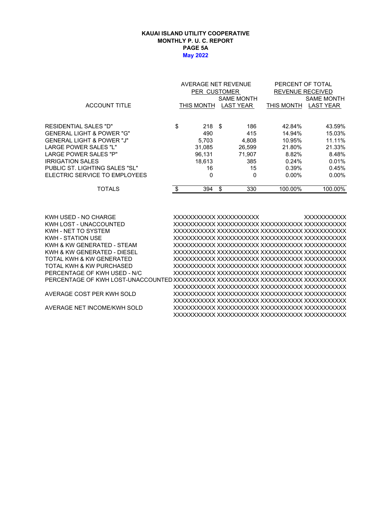#### **KAUAI ISLAND UTILITY COOPERATIVE MONTHLY P. U. C. REPORT PAGE 5A May 2022**

|                                |     | AVERAGE NET REVENUE |    |                         |            | PERCENT OF TOTAL  |  |  |  |
|--------------------------------|-----|---------------------|----|-------------------------|------------|-------------------|--|--|--|
|                                |     | <b>PER CUSTOMER</b> |    | <b>REVENUE RECEIVED</b> |            |                   |  |  |  |
|                                |     |                     |    | <b>SAME MONTH</b>       |            | <b>SAME MONTH</b> |  |  |  |
| <b>ACCOUNT TITLE</b>           |     | THIS MONTH          |    | <b>LAST YEAR</b>        | THIS MONTH | <b>LAST YEAR</b>  |  |  |  |
|                                |     |                     |    |                         |            |                   |  |  |  |
| RESIDENTIAL SALES "D"          | \$  | 218 <sup>5</sup>    |    | 186                     | 42.84%     | 43.59%            |  |  |  |
| GENERAL LIGHT & POWER "G"      |     | 490                 |    | 415                     | 14.94%     | 15.03%            |  |  |  |
| GENERAL LIGHT & POWER "J"      |     | 5,703               |    | 4,808                   | 10.95%     | 11.11%            |  |  |  |
| LARGE POWER SALES "L"          |     | 31,085              |    | 26.599                  | 21.80%     | 21.33%            |  |  |  |
| LARGE POWER SALES "P"          |     | 96.131              |    | 71.907                  | 8.82%      | 8.48%             |  |  |  |
| IRRIGATION SALES               |     | 18.613              |    | 385                     | 0.24%      | 0.01%             |  |  |  |
| PUBLIC ST. LIGHTING SALES "SL" |     | 16                  |    | 15                      | 0.39%      | 0.45%             |  |  |  |
| ELECTRIC SERVICE TO EMPLOYEES  |     | 0                   |    | 0                       | $0.00\%$   | $0.00\%$          |  |  |  |
| <b>TOTALS</b>                  | \$. | 394                 | \$ | 330                     | 100.00%    | 100.00%           |  |  |  |
|                                |     |                     |    |                         |            |                   |  |  |  |

KWH USED - NO CHARGE XXXXXXXXXXX XXXXXXXXXXX XXXXXXXXXXX KWH LOST - UNACCOUNTED XXXXXXXXXXX XXXXXXXXXXX XXXXXXXXXXX XXXXXXXXXXX KWH - NET TO SYSTEM XXXXXXXXXXX XXXXXXXXXXX XXXXXXXXXXX XXXXXXXXXXX KWH - STATION USE XXXXXXXXXXX XXXXXXXXXXX XXXXXXXXXXX XXXXXXXXXXX KWH & KW GENERATED - STEAM XXXXXXXXXXX XXXXXXXXXXX XXXXXXXXXXX XXXXXXXXXXX KWH & KW GENERATED - DIESEL XXXXXXXXXXX XXXXXXXXXXX XXXXXXXXXXX XXXXXXXXXXX TOTAL KWH & KW GENERATED XXXXXXXXXXX XXXXXXXXXXX XXXXXXXXXXX XXXXXXXXXXX TOTAL KWH & KW PURCHASED XXXXXXXXXXX XXXXXXXXXXX XXXXXXXXXXX XXXXXXXXXXX PERCENTAGE OF KWH USED - N/C XXXXXXXXXXX XXXXXXXXXXX XXXXXXXXXXX XXXXXXXXXXX PERCENTAGE OF KWH LOST-UNACCOUNTED XXXXXXXXXXX XXXXXXXXXXX XXXXXXXXXXX XXXXXXXXXXX XXXXXXXXXXX XXXXXXXXXXX XXXXXXXXXXX XXXXXXXXXXX AVERAGE COST PER KWH SOLD XXXXXXXXXXX XXXXXXXXXXX XXXXXXXXXXX XXXXXXXXXXX XXXXXXXXXXX XXXXXXXXXXX XXXXXXXXXXX XXXXXXXXXXX AVERAGE NET INCOME/KWH SOLD XXXXXXXXXXX XXXXXXXXXXX XXXXXXXXXXX XXXXXXXXXXX XXXXXXXXXXX XXXXXXXXXXX XXXXXXXXXXX XXXXXXXXXXX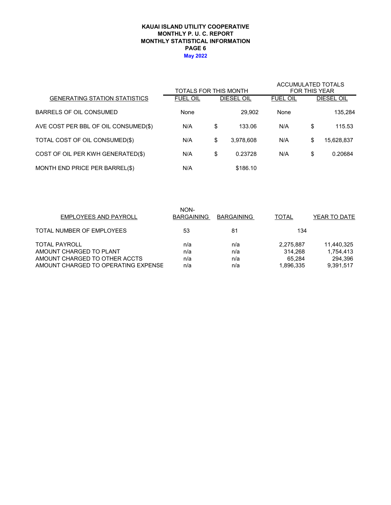#### **KAUAI ISLAND UTILITY COOPERATIVE MONTHLY STATISTICAL INFORMATION MONTHLY P. U. C. REPORT PAGE 6 May 2022**

|                                      | TOTALS FOR THIS MONTH |                   | <b>ACCUMULATED TOTALS</b><br><b>FOR THIS YEAR</b> |    |                   |  |
|--------------------------------------|-----------------------|-------------------|---------------------------------------------------|----|-------------------|--|
| <b>GENERATING STATION STATISTICS</b> | <b>FUEL OIL</b>       | <b>DIESEL OIL</b> | <b>FUEL OIL</b>                                   |    | <b>DIESEL OIL</b> |  |
| BARRELS OF OIL CONSUMED              | None                  | 29.902            | None                                              |    | 135,284           |  |
| AVE COST PER BBL OF OIL CONSUMED(\$) | N/A                   | \$<br>133.06      | N/A                                               | \$ | 115.53            |  |
| TOTAL COST OF OIL CONSUMED(\$)       | N/A                   | \$<br>3,978,608   | N/A                                               | \$ | 15,628,837        |  |
| COST OF OIL PER KWH GENERATED(\$)    | N/A                   | \$<br>0.23728     | N/A                                               | \$ | 0.20684           |  |
| MONTH END PRICE PER BARREL(\$)       | N/A                   | \$186.10          |                                                   |    |                   |  |

| <b>EMPLOYEES AND PAYROLL</b>        | NON-<br><b>BARGAINING</b> | <b>BARGAINING</b> | <b>TOTAL</b> | YEAR TO DATE |
|-------------------------------------|---------------------------|-------------------|--------------|--------------|
| TOTAL NUMBER OF EMPLOYEES           | 53                        | 81                | 134          |              |
| <b>TOTAL PAYROLL</b>                | n/a                       | n/a               | 2,275,887    | 11.440.325   |
| AMOUNT CHARGED TO PLANT             | n/a                       | n/a               | 314.268      | 1,754,413    |
| AMOUNT CHARGED TO OTHER ACCTS       | n/a                       | n/a               | 65.284       | 294.396      |
| AMOUNT CHARGED TO OPERATING EXPENSE | n/a                       | n/a               | 1,896,335    | 9.391.517    |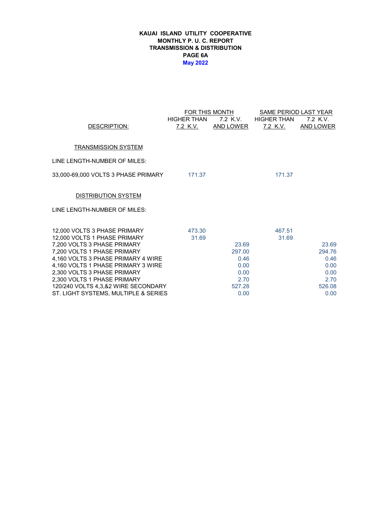#### **KAUAI ISLAND UTILITY COOPERATIVE MONTHLY P. U. C. REPORT TRANSMISSION & DISTRIBUTION PAGE 6A May 2022**

|                                                                   |                    | FOR THIS MONTH | SAME PERIOD LAST YEAR |                  |
|-------------------------------------------------------------------|--------------------|----------------|-----------------------|------------------|
|                                                                   | <b>HIGHER THAN</b> | 7.2 K.V.       | <b>HIGHER THAN</b>    | 7.2 K.V.         |
| DESCRIPTION:                                                      | <u>7.2 K.V.</u>    | AND LOWER      | 7.2 K.V.              | <b>AND LOWER</b> |
|                                                                   |                    |                |                       |                  |
| <b>TRANSMISSION SYSTEM</b>                                        |                    |                |                       |                  |
| LINE LENGTH-NUMBER OF MILES:                                      |                    |                |                       |                  |
|                                                                   | 171.37             |                | 171.37                |                  |
|                                                                   |                    |                |                       |                  |
| <b>DISTRIBUTION SYSTEM</b>                                        |                    |                |                       |                  |
| LINE LENGTH-NUMBER OF MILES:                                      |                    |                |                       |                  |
|                                                                   |                    |                |                       |                  |
| 12,000 VOLTS 3 PHASE PRIMARY                                      | 473.30             |                | 467.51                |                  |
| 12,000 VOLTS 1 PHASE PRIMARY                                      | 31.69              |                | 31.69                 |                  |
| 7,200 VOLTS 3 PHASE PRIMARY                                       |                    | 23.69          |                       | 23.69            |
| 7,200 VOLTS 1 PHASE PRIMARY                                       |                    | 297.00         |                       | 294.76           |
| 4,160 VOLTS 3 PHASE PRIMARY 4 WIRE                                |                    | 0.46           |                       | 0.46             |
| 4,160 VOLTS 1 PHASE PRIMARY 3 WIRE<br>2,300 VOLTS 3 PHASE PRIMARY |                    | 0.00<br>0.00   |                       | 0.00<br>0.00     |
| 2,300 VOLTS 1 PHASE PRIMARY                                       |                    | 2.70           |                       | 2.70             |
| 120/240 VOLTS 4,3,&2 WIRE SECONDARY                               |                    | 527.28         |                       | 526.08           |
| ST. LIGHT SYSTEMS, MULTIPLE & SERIES                              |                    | 0.00           |                       | 0.00             |
|                                                                   |                    |                |                       |                  |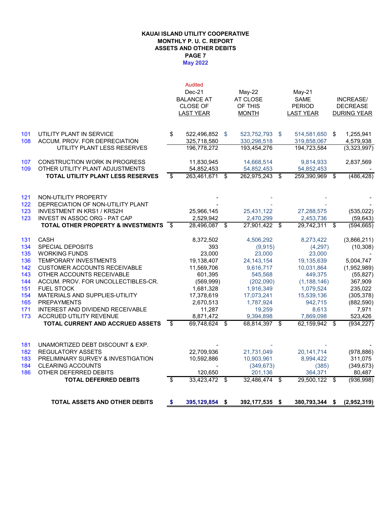#### **KAUAI ISLAND UTILITY COOPERATIVE MONTHLY P. U. C. REPORT ASSETS AND OTHER DEBITS May 2022 PAGE 7**

|            | <b>TOTAL ASSETS AND OTHER DEBITS</b>                      | \$   | 395,129,854 \$    |                | 392,177,535     | - \$ | 380,793,344 \$ |     | (2,952,319)      |
|------------|-----------------------------------------------------------|------|-------------------|----------------|-----------------|------|----------------|-----|------------------|
|            | <b>TOTAL DEFERRED DEBITS</b>                              | s,   | 33,423,472        | \$             | 32,486,474 \$   |      | 29,500,122 \$  |     | (936, 998)       |
| 186        | OTHER DEFERRED DEBITS                                     |      | 120,650           |                | 201,136         |      | 364,371        |     | 80,487           |
| 184        | <b>CLEARING ACCOUNTS</b>                                  |      |                   |                | (349, 673)      |      | (385)          |     | (349, 673)       |
| 183        | PRELIMINARY SURVEY & INVESTIGATION                        |      | 10,592,886        |                | 10,903,961      |      | 8,994,422      |     | 311,075          |
| 182        | <b>REGULATORY ASSETS</b>                                  |      | 22,709,936        |                | 21,731,049      |      | 20,141,714     |     | (978, 886)       |
| 181        | UNAMORTIZED DEBT DISCOUNT & EXP.                          |      |                   |                |                 |      |                |     |                  |
|            | <b>TOTAL CURRENT AND ACCRUED ASSETS</b>                   | \$   | 69,748,624        | \$             | 68,814,397 \$   |      | 62,159,942     | \$  | (934, 227)       |
| 173        | ACCRUED UTILITY REVENUE                                   |      | 8,871,472         |                | 9,394,898       |      | 7,869,098      |     | 523,426          |
| 171        | INTEREST AND DIVIDEND RECEIVABLE                          |      | 11,287            |                | 19,259          |      | 8,613          |     | 7,971            |
| 165        | <b>PREPAYMENTS</b>                                        |      | 2,670,513         |                | 1,787,924       |      | 942,715        |     | (882,590)        |
| 154        | MATERIALS AND SUPPLIES-UTILITY                            |      | 17,378,619        |                | 17,073,241      |      | 15,539,136     |     | (305, 378)       |
| 151        | <b>FUEL STOCK</b>                                         |      | 1,681,328         |                | 1,916,349       |      | 1,079,524      |     | 235,022          |
| 144        | ACCUM. PROV. FOR UNCOLLECTIBLES-CR.                       |      | (569, 999)        |                | (202,090)       |      | (1, 188, 146)  |     | 367,909          |
| 143        | OTHER ACCOUNTS RECEIVABLE                                 |      | 601,395           |                | 545,568         |      | 449,375        |     | (55, 827)        |
| 142        | <b>CUSTOMER ACCOUNTS RECEIVABLE</b>                       |      | 11,569,706        |                | 9,616,717       |      | 10,031,864     |     | (1,952,989)      |
| 136        | <b>TEMPORARY INVESTMENTS</b>                              |      | 19,138,407        |                | 24, 143, 154    |      | 19,135,639     |     | 5,004,747        |
| 135        | <b>WORKING FUNDS</b>                                      |      | 23.000            |                | 23.000          |      | 23,000         |     |                  |
| 134        | SPECIAL DEPOSITS                                          |      | 393               |                | (9,915)         |      | (4, 297)       |     | (10, 308)        |
| 131        | <b>CASH</b>                                               |      | 8,372,502         |                | 4,506,292       |      | 8,273,422      |     | (3,866,211)      |
|            | <b>TOTAL OTHER PROPERTY &amp; INVESTMENTS</b>             | - \$ | 28,496,087        | \$             | $27,901,422$ \$ |      | 29,742,311     | \$  | (594,665)        |
| 123        | <b>INVEST IN ASSOC ORG - PAT CAP</b>                      |      | 2,529,942         |                | 2,470,299       |      | 2,453,736      |     | (59, 643)        |
| 123        | <b>INVESTMENT IN KRS1 / KRS2H</b>                         |      | 25,966,145        |                | 25,431,122      |      | 27,288,575     |     | (535, 022)       |
| 121<br>122 | NON-UTILITY PROPERTY<br>DEPRECIATION OF NON-UTILITY PLANT |      |                   |                |                 |      |                |     |                  |
|            | TOTAL UTILITY PLANT LESS RESERVES                         | \$   | 263,461,671       | \$             | 262,975,243 \$  |      | 259,390,969    | -\$ | (486, 428)       |
| 109        | OTHER UTILITY PLANT ADJUSTMENTS                           |      | 54,852,453        |                | 54,852,453      |      | 54,852,453     |     |                  |
| 107        | <b>CONSTRUCTION WORK IN PROGRESS</b>                      |      | 11,830,945        |                | 14,668,514      |      | 9,814,933      |     | 2,837,569        |
|            | UTILITY PLANT LESS RESERVES                               |      | 196,778,272       |                | 193,454,276     |      | 194,723,584    |     | (3,323,997)      |
| 108        | ACCUM. PROV. FOR DEPRECIATION                             |      | 325,718,580       |                | 330,298,518     |      | 319,858,067    |     | 4,579,938        |
| 101        | UTILITY PLANT IN SERVICE                                  | \$   | 522,496,852       | $\mathfrak{S}$ | 523,752,793 \$  |      | 514,581,650    | \$  | 1,255,941        |
|            |                                                           |      | LAST YEAR         |                | <b>MONTH</b>    |      | LAST YEAR      |     | DURING YEAR      |
|            |                                                           |      | <b>CLOSE OF</b>   |                | OF THIS         |      | <b>PERIOD</b>  |     | <b>DECREASE</b>  |
|            |                                                           |      | <b>BALANCE AT</b> |                | AT CLOSE        |      | <b>SAME</b>    |     | <b>INCREASE/</b> |
|            |                                                           |      | $Dec-21$          |                | $May-22$        |      | May-21         |     |                  |
|            |                                                           |      | <b>Audited</b>    |                |                 |      |                |     |                  |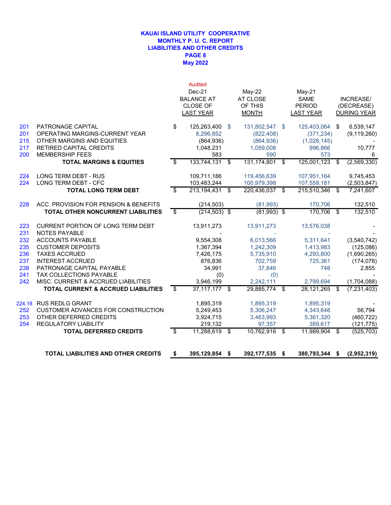### **May 2022 KAUAI ISLAND UTILITY COOPERATIVE MONTHLY P. U. C. REPORT LIABILITIES AND OTHER CREDITS PAGE 8**

|                                 |                                                                                                                                               | <b>Audited</b><br>Dec-21<br><b>BALANCE AT</b><br><b>CLOSE OF</b><br><b>LAST YEAR</b> |     | $May-22$<br>AT CLOSE<br>OF THIS<br><b>MONTH</b>             |      | $May-21$<br><b>SAME</b><br><b>PERIOD</b><br><b>LAST YEAR</b> |     | INCREASE/<br>(DECREASE)<br><b>DURING YEAR</b> |
|---------------------------------|-----------------------------------------------------------------------------------------------------------------------------------------------|--------------------------------------------------------------------------------------|-----|-------------------------------------------------------------|------|--------------------------------------------------------------|-----|-----------------------------------------------|
| 201<br>201<br>215<br>217<br>200 | PATRONAGE CAPITAL<br>OPERATING MARGINS-CURRENT YEAR<br>OTHER MARGINS AND EQUITIES<br><b>RETIRED CAPITAL CREDITS</b><br><b>MEMBERSHIP FEES</b> | \$<br>125,263,400 \$<br>8,296,852<br>(864, 936)<br>1,048,231<br>583                  |     | 131,802,547<br>(822, 408)<br>(864, 936)<br>1,059,008<br>590 | - \$ | 125,403,064<br>(371, 234)<br>(1,028,145)<br>996.866<br>573   | \$  | 6,539,147<br>(9, 119, 260)<br>10,777<br>6     |
|                                 | <b>TOTAL MARGINS &amp; EQUITIES</b>                                                                                                           | \$<br>133,744,131                                                                    | \$  | 131,174,801                                                 | \$   | 125,001,123                                                  | \$  | (2, 569, 330)                                 |
| 224<br>224                      | LONG TERM DEBT - RUS<br><b>LONG TERM DEBT - CFC</b>                                                                                           | 109,711,186<br>103,483,244                                                           |     | 119,456,639<br>100,979,398                                  |      | 107,951,164<br>107,559,181                                   |     | 9,745,453<br>(2,503,847)                      |
|                                 | <b>TOTAL LONG TERM DEBT</b>                                                                                                                   | \$<br>213, 194, 431                                                                  | -\$ | 220,436,037                                                 | \$   | 215,510,346                                                  | \$  | 7,241,607                                     |
| 228                             | ACC. PROVISION FOR PENSION & BENEFITS                                                                                                         | (214, 503)                                                                           |     | (81,993)                                                    |      | 170.706                                                      |     | 132,510                                       |
|                                 | TOTAL OTHER NONCURRENT LIABILITIES                                                                                                            | \$<br>$(214, 503)$ \$                                                                |     | $(81,993)$ \$                                               |      | 170,706                                                      | -\$ | 132,510                                       |
| 223<br>231                      | CURRENT PORTION OF LONG TERM DEBT<br><b>NOTES PAYABLE</b>                                                                                     | 13,911,273                                                                           |     | 13,911,273                                                  |      | 13,576,038                                                   |     |                                               |
| 232                             | <b>ACCOUNTS PAYABLE</b>                                                                                                                       | 9,554,308                                                                            |     | 6,013,566                                                   |      | 5,311,641                                                    |     | (3,540,742)                                   |
| 235                             | <b>CUSTOMER DEPOSITS</b>                                                                                                                      | 1,367,394                                                                            |     | 1,242,309                                                   |      | 1,413,983                                                    |     | (125,086)                                     |
| 236                             | <b>TAXES ACCRUED</b>                                                                                                                          | 7,426,175                                                                            |     | 5,735,910                                                   |      | 4,293,800                                                    |     | (1,690,265)                                   |
| 237<br>238                      | <b>INTEREST ACCRUED</b><br>PATRONAGE CAPITAL PAYABLE                                                                                          | 876,836<br>34,991                                                                    |     | 702,759<br>37,846                                           |      | 725,361<br>748                                               |     | (174, 078)<br>2,855                           |
| 241                             | <b>TAX COLLECTIONS PAYABLE</b>                                                                                                                | (0)                                                                                  |     | (0)                                                         |      |                                                              |     |                                               |
| 242                             | MISC. CURRENT & ACCRUED LIABILITIES                                                                                                           | 3,946,199                                                                            |     | 2,242,111                                                   |      | 2,799,694                                                    |     | (1,704,088)                                   |
|                                 | <b>TOTAL CURRENT &amp; ACCRUED LIABILITIES</b>                                                                                                | \$<br>37,117,177 \$                                                                  |     | 29,885,774                                                  | \$   | 28,121,265                                                   | \$  | (7, 231, 403)                                 |
|                                 | 224.18 RUS REDLG GRANT                                                                                                                        | 1,895,319                                                                            |     | 1,895,319                                                   |      | 1,895,319                                                    |     |                                               |
| 252                             | <b>CUSTOMER ADVANCES FOR CONSTRUCTION</b>                                                                                                     | 5,249,453                                                                            |     | 5,306,247                                                   |      | 4,343,648                                                    |     | 56.794                                        |
| 253                             | OTHER DEFERRED CREDITS                                                                                                                        | 3,924,715                                                                            |     | 3,463,993                                                   |      | 5,361,320                                                    |     | (460, 722)                                    |
| 254                             | <b>REGULATORY LIABILITY</b>                                                                                                                   | 219.132                                                                              |     | 97.357                                                      |      | 389,617                                                      |     | (121, 775)                                    |
|                                 | <b>TOTAL DEFERRED CREDITS</b>                                                                                                                 | \$<br>11,288,619 \$                                                                  |     | 10,762,916                                                  | \$   | 11,989,904                                                   | \$  | (525, 703)                                    |
|                                 | <b>TOTAL LIABILITIES AND OTHER CREDITS</b>                                                                                                    | \$<br>395,129,854 \$                                                                 |     | 392,177,535 \$                                              |      | 380,793,344 \$                                               |     | (2,952,319)                                   |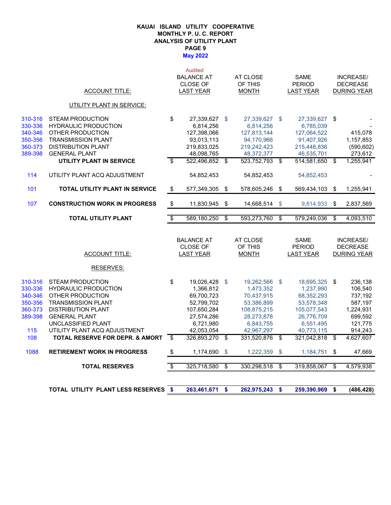#### **May 2022 KAUAI ISLAND UTILITY COOPERATIVE MONTHLY P. U. C. REPORT ANALYSIS OF UTILITY PLANT PAGE 9**

|                    | <b>ACCOUNT TITLE:</b>                           |                           | <b>Audited</b><br><b>BALANCE AT</b><br><b>CLOSE OF</b><br><b>LAST YEAR</b> | AT CLOSE<br>OF THIS<br><b>MONTH</b> |                          | <b>SAME</b><br><b>PERIOD</b><br><b>LAST YEAR</b> | INCREASE/<br><b>DECREASE</b><br><b>DURING YEAR</b> |
|--------------------|-------------------------------------------------|---------------------------|----------------------------------------------------------------------------|-------------------------------------|--------------------------|--------------------------------------------------|----------------------------------------------------|
|                    | UTILITY PLANT IN SERVICE:                       |                           |                                                                            |                                     |                          |                                                  |                                                    |
|                    |                                                 |                           |                                                                            |                                     |                          |                                                  |                                                    |
| 310-316            | <b>STEAM PRODUCTION</b>                         | \$                        | 27,339,627                                                                 | \$<br>27,339,627 \$                 |                          | 27,339,627 \$                                    |                                                    |
| 330-336            | <b>HYDRAULIC PRODUCTION</b>                     |                           | 6,814,256                                                                  | 6,814,256                           |                          | 6,785,039                                        |                                                    |
| 340-346            | OTHER PRODUCTION                                |                           | 127,398,066                                                                | 127,813,144                         |                          | 127,064,522                                      | 415,078                                            |
| 350-356            | <b>TRANSMISSION PLANT</b>                       |                           | 93,013,113                                                                 | 94,170,966                          |                          | 91,407,926                                       | 1,157,853                                          |
| 360-373            | <b>DISTRIBUTION PLANT</b>                       |                           | 219,833,025                                                                | 219,242,423                         |                          | 215,448,836                                      | (590, 602)                                         |
| 389-398            | <b>GENERAL PLANT</b>                            |                           | 48,098,765                                                                 | 48,372,377                          |                          | 46,535,701                                       | 273,612                                            |
|                    | UTILITY PLANT IN SERVICE                        | \$                        | 522,496,852                                                                | \$<br>523,752,793 \$                |                          | 514,581,650 \$                                   | 1,255,941                                          |
| 114                | UTILITY PLANT ACQ ADJUSTMENT                    |                           | 54,852,453                                                                 | 54,852,453                          |                          | 54,852,453                                       |                                                    |
| 101                | <b>TOTAL UTILITY PLANT IN SERVICE</b>           | $\sqrt[6]{\frac{1}{2}}$   | 577,349,305                                                                | \$<br>578,605,246                   | \$                       | 569,434,103                                      | \$<br>1,255,941                                    |
| 107                | <b>CONSTRUCTION WORK IN PROGRESS</b>            | \$                        | 11,830,945                                                                 | \$<br>14,668,514                    | \$                       | 9,814,933                                        | \$<br>2,837,569                                    |
|                    | <b>TOTAL UTILITY PLANT</b>                      | $\overline{\mathcal{S}}$  | 589,180,250                                                                | \$<br>593,273,760                   | $\overline{\mathcal{S}}$ | 579,249,036                                      | \$<br>4,093,510                                    |
|                    |                                                 |                           |                                                                            |                                     |                          |                                                  |                                                    |
|                    |                                                 |                           | <b>BALANCE AT</b>                                                          | AT CLOSE                            |                          | <b>SAME</b>                                      | <b>INCREASE/</b>                                   |
|                    |                                                 |                           | <b>CLOSE OF</b>                                                            | OF THIS                             |                          | <b>PERIOD</b>                                    | <b>DECREASE</b>                                    |
|                    | <b>ACCOUNT TITLE:</b>                           |                           | <b>LAST YEAR</b>                                                           | <b>MONTH</b>                        |                          | <b>LAST YEAR</b>                                 | <b>DURING YEAR</b>                                 |
|                    |                                                 |                           |                                                                            |                                     |                          |                                                  |                                                    |
|                    | <b>RESERVES:</b>                                |                           |                                                                            |                                     |                          |                                                  |                                                    |
|                    |                                                 |                           |                                                                            |                                     |                          |                                                  |                                                    |
| 310-316            | STEAM PRODUCTION                                | \$                        | 19,026,428                                                                 | \$<br>19,262,566 \$                 |                          | 18,695,325                                       | \$<br>236,138                                      |
| 330-336<br>340-346 | <b>HYDRAULIC PRODUCTION</b><br>OTHER PRODUCTION |                           | 1,366,812                                                                  | 1,473,352                           |                          | 1,237,990                                        | 106,540                                            |
| 350-356            | <b>TRANSMISSION PLANT</b>                       |                           | 69,700,723<br>52,799,702                                                   | 70,437,915<br>53,386,899            |                          | 68,352,293<br>53,578,348                         | 737,192<br>587,197                                 |
| 360-373            | <b>DISTRIBUTION PLANT</b>                       |                           | 107,650,284                                                                | 108,875,215                         |                          | 105,077,543                                      | 1,224,931                                          |
| 389-398            | <b>GENERAL PLANT</b>                            |                           | 27,574,286                                                                 | 28,273,878                          |                          | 26,776,709                                       | 699,592                                            |
|                    | UNCLASSIFIED PLANT                              |                           | 6,721,980                                                                  | 6,843,755                           |                          | 6,551,495                                        | 121,775                                            |
| 115                | UTILITY PLANT ACQ ADJUSTMENT                    |                           | 42,053,054                                                                 | 42,967,297                          |                          | 40,773,115                                       | 914,243                                            |
| 108                | TOTAL RESERVE FOR DEPR. & AMORT                 | \$                        | 326,893,270                                                                | \$<br>331,520,876 \$                |                          | 321,042,818                                      | \$<br>4,627,607                                    |
| 1088               | <b>RETIREMENT WORK IN PROGRESS</b>              | $\boldsymbol{\mathsf{S}}$ | 1,174,690                                                                  | \$<br>1,222,359                     | \$                       | 1,184,751                                        | \$<br>47,669                                       |
|                    | <b>TOTAL RESERVES</b>                           | $\overline{\ast}$         | 325,718,580                                                                | \$<br>330,298,518                   | \$                       | 319,858,067                                      | \$<br>4,579,938                                    |
|                    |                                                 |                           |                                                                            |                                     |                          |                                                  |                                                    |

**TOTAL UTILITY PLANT LESS RESERVES \$ 262,975,243 263,461,671 \$ 259,390,969 \$ \$ (486,428)**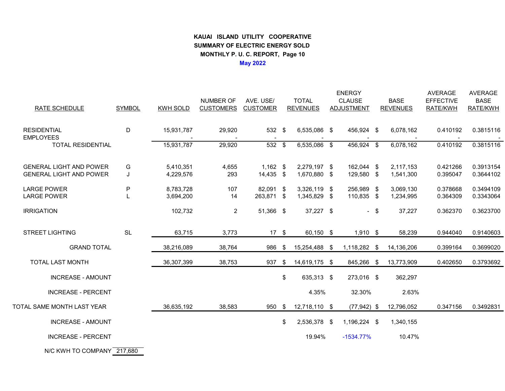## **KAUAI ISLAND UTILITY COOPERATIVE SUMMARY OF ELECTRIC ENERGY SOLD MONTHLY P. U. C. REPORT, Page 10May 2022**

ENERGY AVERAGE AVERAGE NUMBER OF AVE. USE/ TOTAL CLAUSE BASE EFFECTIVE BASE RATE SCHEDULE SYMBOL KWH SOLD CUSTOMERS CUSTOMER REVENUES ADJUSTMENT REVENUES RATE/KWH RATE/KWH RESIDENTIAL <sup>D</sup> 15,931,787 29,920 <sup>532</sup> 6,535,086 \$ 456,924 \$ 6,078,162 \$ 0.410192 0.3815116 **EMPLOYEES**  - - - - - - - TOTAL RESIDENTIAL 15,931,787 29,920 <sup>532</sup> 6,535,086 \$ 456,924 \$ 6,078,162 \$ 0.410192 0.3815116 GENERAL LIGHT AND POWER G 5,410,351 4,655 1,162 \$ 2,279,197 \$ 162,044 \$ 2,117,153 0.421266 0.3913154<br>CENERAL LIGHT AND ROMER LIGHT AND 1,000 530 0.000 14,405 \$ 1,530,000 \$ 1,000 500 \$ 1,544,000 \$ 0.0550.7 \$ 0.04 GENERAL LIGHT AND POWER J 4,229,576 293 1,670,880 \$ 129,580 \$ 1,541,300 0.395047 0.3644102 LARGE POWER <sup>P</sup> 8,783,728 <sup>107</sup> 82,091 3,326,119 \$ 256,989 \$ 3,069,130 \$ 0.378668 0.3494109 LARGE POWER L 3,694,200 14 263,871 \$ 1,345,829 \$ 110,835 \$ 1,234,995 0.364309 0.3343064 IRRIGATION 102,732 <sup>2</sup> 51,366 37,227 \$ - \$ 37,227 \$ 0.362370 0.3623700 STREET LIGHTING SL 63,715 3,773 <sup>17</sup> \$ 60,150 \$ 1,910 \$ 58,239 0.944040 0.9140603 GRAND TOTAL 38,216,089 38,764 <sup>986</sup> \$ 15,254,488 \$ 1,118,282 \$ 14,136,206 0.399164 0.3699020 TOTAL LAST MONTH 36,307,399 38,753 <sup>937</sup> 14,619,175 \$ 845,266 \$ 13,773,909 \$ 0.402650 0.3793692 INCREASE - AMOUNT $\texttt{T}$  362,297 INCREASE - PERCENT $\frac{1}{4.35\%}$  32.30% 2.63% TOTAL SAME MONTH LAST YEAR 36,635,192 38,583 950 \$ 12,718,110 \$ (77,942) \$ 12,796,052 0.347156 0.3492831 INCREASE - AMOUNT $\texttt{T}$  1,196,224 \$ 1,196,224 5 1,340,155 INCREASE - PERCENT $T$  and  $19.94\%$ -1534.77% 10.47%

N/C KWH TO COMPANY <u>\_217,680</u>